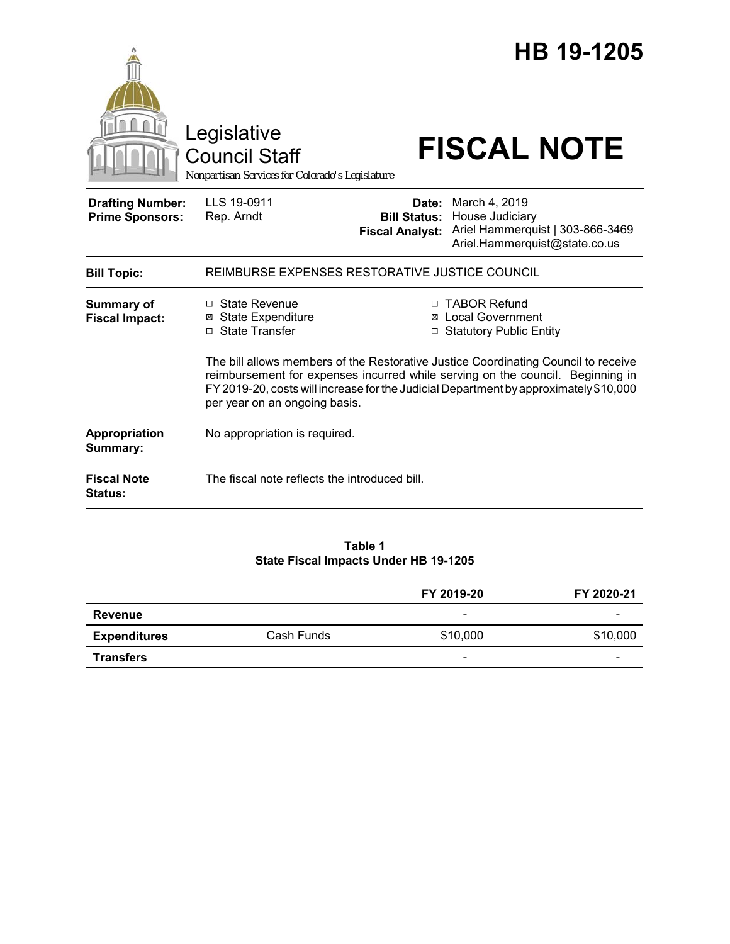|                                                   | Legislative<br><b>Council Staff</b><br>Nonpartisan Services for Colorado's Legislature                                                                                                                                                                                                         |                                                        | HB 19-1205<br><b>FISCAL NOTE</b>                                                                      |  |
|---------------------------------------------------|------------------------------------------------------------------------------------------------------------------------------------------------------------------------------------------------------------------------------------------------------------------------------------------------|--------------------------------------------------------|-------------------------------------------------------------------------------------------------------|--|
| <b>Drafting Number:</b><br><b>Prime Sponsors:</b> | LLS 19-0911<br>Rep. Arndt                                                                                                                                                                                                                                                                      | Date:<br><b>Bill Status:</b><br><b>Fiscal Analyst:</b> | March 4, 2019<br>House Judiciary<br>Ariel Hammerquist   303-866-3469<br>Ariel.Hammerquist@state.co.us |  |
| <b>Bill Topic:</b>                                | REIMBURSE EXPENSES RESTORATIVE JUSTICE COUNCIL                                                                                                                                                                                                                                                 |                                                        |                                                                                                       |  |
| <b>Summary of</b><br><b>Fiscal Impact:</b>        | □ State Revenue<br><b>⊠</b> State Expenditure<br>□ State Transfer                                                                                                                                                                                                                              |                                                        | □ TABOR Refund<br>⊠ Local Government<br>□ Statutory Public Entity                                     |  |
|                                                   | The bill allows members of the Restorative Justice Coordinating Council to receive<br>reimbursement for expenses incurred while serving on the council. Beginning in<br>FY 2019-20, costs will increase for the Judicial Department by approximately \$10,000<br>per year on an ongoing basis. |                                                        |                                                                                                       |  |
| Appropriation<br>Summary:                         | No appropriation is required.                                                                                                                                                                                                                                                                  |                                                        |                                                                                                       |  |
| <b>Fiscal Note</b><br>Status:                     | The fiscal note reflects the introduced bill.                                                                                                                                                                                                                                                  |                                                        |                                                                                                       |  |

#### **Table 1 State Fiscal Impacts Under HB 19-1205**

|                     |            | FY 2019-20 | FY 2020-21 |
|---------------------|------------|------------|------------|
| Revenue             |            | -          | -          |
| <b>Expenditures</b> | Cash Funds | \$10,000   | \$10,000   |
| <b>Transfers</b>    |            | -          | -          |